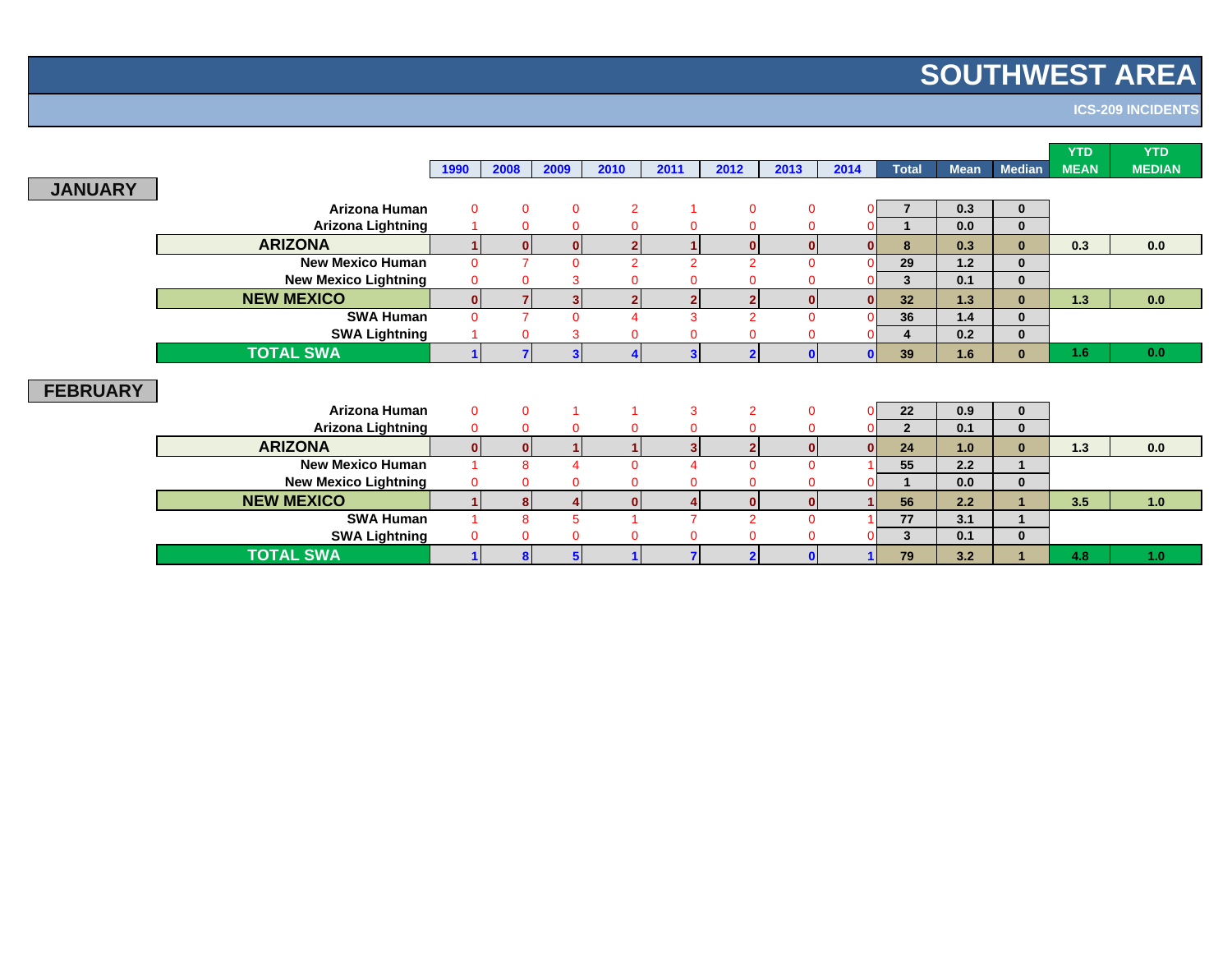# **SOUTHWEST AREA**

**ICS-209 INCIDENTS**

|                             |                      |               |          |                         |                          |                         |              |              |                          |             |               | <b>YTD</b>  | <b>YTD</b>    |
|-----------------------------|----------------------|---------------|----------|-------------------------|--------------------------|-------------------------|--------------|--------------|--------------------------|-------------|---------------|-------------|---------------|
|                             | 1990                 | 2008          | 2009     | 2010                    | 2011                     | 2012                    | 2013         | 2014         | <b>Total</b>             | <b>Mean</b> | <b>Median</b> | <b>MEAN</b> | <b>MEDIAN</b> |
| <b>JANUARY</b>              |                      |               |          |                         |                          |                         |              |              |                          |             |               |             |               |
| Arizona Human               | $\mathbf{0}$         | $\Omega$      | $\Omega$ | $\overline{2}$          |                          | $\mathbf 0$             | $\mathbf{0}$ |              | $\overline{\phantom{a}}$ | 0.3         | $\mathbf{0}$  |             |               |
| <b>Arizona Lightning</b>    |                      | $\Omega$      | $\Omega$ | $\mathbf 0$             | $\mathbf{0}$             | $\mathbf{0}$            | 0            |              |                          | 0.0         | $\bf{0}$      |             |               |
| <b>ARIZONA</b>              | $\blacktriangleleft$ |               | $\bf{0}$ | $\overline{2}$          | 1                        | $\bf{0}$                | $\mathbf{0}$ |              | 8                        | 0.3         | $\bf{0}$      | 0.3         | 0.0           |
| <b>New Mexico Human</b>     | $\Omega$             | $\rightarrow$ | $\Omega$ | $\overline{2}$          | $\overline{2}$           | $\overline{2}$          | $\Omega$     |              | 29                       | $1.2$       | $\bf{0}$      |             |               |
| <b>New Mexico Lightning</b> | $\overline{0}$       |               |          |                         | 0                        | $\mathbf 0$             |              |              | 3                        | 0.1         | $\bf{0}$      |             |               |
| <b>NEW MEXICO</b>           | $\mathbf{0}$         |               | 3        | $\overline{\mathbf{2}}$ | $\mathbf{2}$             | $\mathbf{2}$            | $\mathbf{0}$ |              | 32                       | 1.3         | $\bf{0}$      | 1.3         | 0.0           |
| <b>SWA Human</b>            | $\Omega$             |               |          |                         | 3                        | $\overline{2}$          | $\Omega$     |              | 36                       | $1.4$       | $\bf{0}$      |             |               |
| <b>SWA Lightning</b>        |                      | $\Omega$      | 3        | $\Omega$                | $\mathbf 0$              | $\mathbf 0$             | $\mathbf{0}$ |              | 4                        | 0.2         | $\bf{0}$      |             |               |
| <b>TOTAL SWA</b>            |                      |               |          |                         | $\overline{\mathbf{3}}$  | $\overline{\mathbf{2}}$ | $\mathbf{0}$ |              | 39                       | 1.6         | $\bf{0}$      | 1.6         | 0.0           |
|                             |                      |               |          |                         |                          |                         |              |              |                          |             |               |             |               |
| <b>FEBRUARY</b>             |                      |               |          |                         |                          |                         |              |              |                          |             |               |             |               |
| Arizona Human               | $\overline{0}$       | $\mathbf{0}$  |          | -1                      | 3                        | $\overline{2}$          | $\mathbf{0}$ |              | 22                       | 0.9         | $\mathbf{0}$  |             |               |
| <b>Arizona Lightning</b>    | $\Omega$             | $\Omega$      | $\Omega$ | $\Omega$                | $\Omega$                 | $\Omega$                | $\Omega$     |              | $\overline{2}$           | 0.1         | $\bf{0}$      |             |               |
| <b>ARIZONA</b>              | $\bf{0}$             |               |          |                         | 3                        | $\mathbf{2}$            | $\mathbf{0}$ | <sup>n</sup> | 24                       | 1.0         | $\bf{0}$      | 1.3         | 0.0           |
| <b>New Mexico Human</b>     |                      | 8             |          | $\Omega$                | $\boldsymbol{\Delta}$    | $\overline{0}$          | $\Omega$     |              | 55                       | 2.2         |               |             |               |
| <b>New Mexico Lightning</b> |                      |               |          | $\Omega$                | 0                        | $\mathbf{0}$            |              |              |                          | 0.0         | $\mathbf{0}$  |             |               |
| <b>NEW MEXICO</b>           | $\blacktriangleleft$ |               |          | $\bf{0}$                | 4                        | $\mathbf{0}$            | $\mathbf{0}$ |              | 56                       | 2.2         |               | 3.5         | 1.0           |
| <b>SWA Human</b>            |                      | 8             |          |                         | $\overline{\phantom{a}}$ | 2                       | $\Omega$     |              | 77                       | 3.1         |               |             |               |
| <b>SWA Lightning</b>        |                      |               |          |                         | 0                        | $\mathbf{0}$            | 0            |              | $\mathbf{3}$             | 0.1         | $\bf{0}$      |             |               |
| <b>TOTAL SWA</b>            |                      |               |          |                         | 7                        | 2                       | $\mathbf{0}$ |              | 79                       | 3.2         |               | 4.8         | 1.0           |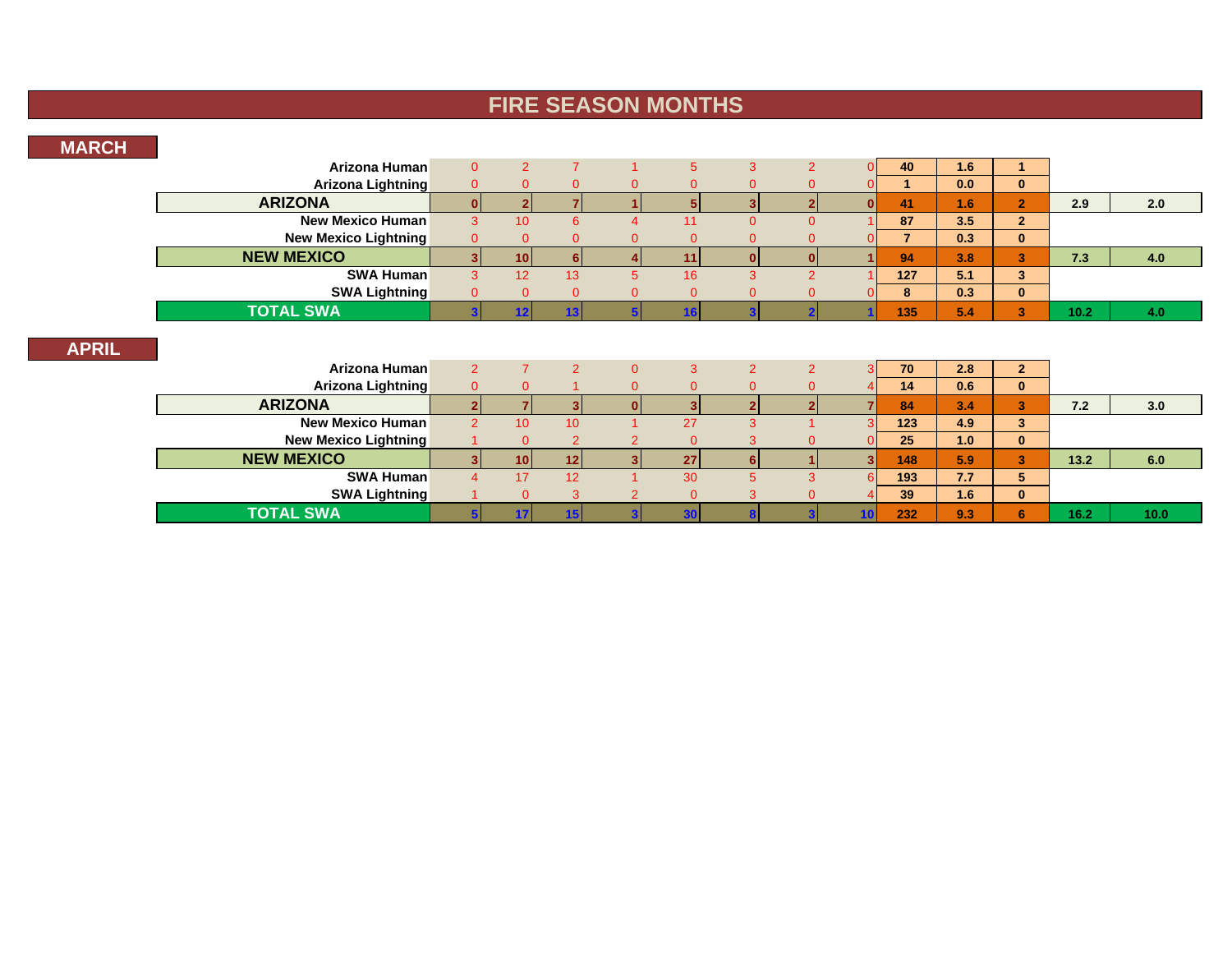## **FIRE SEASON MONTHS**

#### **MARCH**

**APRIL**

| Arizona Human               | $\Omega$       | $\overline{2}$  |                |                | 5           | 3              | $\overline{2}$ |    | 40             | 1.6 | 1              |      |      |
|-----------------------------|----------------|-----------------|----------------|----------------|-------------|----------------|----------------|----|----------------|-----|----------------|------|------|
| <b>Arizona Lightning</b>    | $\mathbf{0}$   | 0               | 0              |                | $\Omega$    | 0              | 0              |    | 1              | 0.0 | $\mathbf{0}$   |      |      |
| <b>ARIZONA</b>              | $\mathbf{0}$   |                 |                |                | 5           | $\mathbf{R}$   | $\overline{2}$ |    | 41             | 1.6 | 2 <sup>1</sup> | 2.9  | 2.0  |
| <b>New Mexico Human</b>     | 3              | 10              | 6              |                | 11          | $\Omega$       | $\Omega$       |    | 87             | 3.5 | $\overline{2}$ |      |      |
| <b>New Mexico Lightning</b> | $\overline{0}$ | ი               | $\Omega$       |                | $\Omega$    | $\Omega$       | ი              |    | $\overline{7}$ | 0.3 | $\mathbf{0}$   |      |      |
| <b>NEW MEXICO</b>           | $\mathbf{3}$   | 10 <sup>1</sup> | 6              | Δ              | 11          | ΩI             | $\bf{0}$       |    | 94             | 3.8 | 3              | 7.3  | 4.0  |
| <b>SWA Human</b>            | 3              | 12              | 13             | 5.             | 16          | 3              | $\overline{2}$ |    | 127            | 5.1 | 3              |      |      |
| <b>SWA Lightning</b>        | $\Omega$       | 0               | $\overline{0}$ | 0              | $\Omega$    | $\Omega$       | 0              |    | 8              | 0.3 | $\mathbf{0}$   |      |      |
| <b>TOTAL SWA</b>            |                | 12              | 13             |                | 16          |                |                |    | 135            | 5.4 | 3 <sup>1</sup> | 10.2 | 4.0  |
| Arizona Human               | $\overline{2}$ |                 | 2              | $\Omega$       | 3           | $\overline{2}$ | $\overline{2}$ | ঽ  | 70             | 2.8 | $\overline{2}$ |      |      |
| <b>Arizona Lightning</b>    | $\overline{0}$ | 0               |                | 0              | $\Omega$    | $\Omega$       | $\overline{0}$ |    | 14             | 0.6 | $\mathbf{0}$   |      |      |
| <b>ARIZONA</b>              |                |                 |                |                | 3           |                |                |    | 84             | 3.4 | 3              | 7.2  | 3.0  |
| <b>New Mexico Human</b>     | $\mathcal{P}$  | 10              | 10             |                | 27          | 3              |                |    | 123            | 4.9 | 3              |      |      |
| <b>New Mexico Lightning</b> |                | $\Omega$        | $\overline{2}$ | $\overline{c}$ | $\Omega$    | 3              | 0              |    | 25             | 1.0 | $\mathbf{0}$   |      |      |
| <b>NEW MEXICO</b>           |                | 10 <sup>1</sup> | 12             | 3              | 27          | 61             |                | 3  | 148            | 5.9 | 3              | 13.2 | 6.0  |
| <b>SWA Human</b>            | $\overline{4}$ | 17              | 12             |                | 30          | 5              | 3              | 6  | 193            | 7.7 | 5              |      |      |
| <b>SWA Lightning</b>        |                | $\mathbf{0}$    | 3              |                | $\mathbf 0$ | 3              | 0              |    | 39             | 1.6 | $\mathbf{0}$   |      |      |
| <b>TOTAL SWA</b>            |                | 17              | 15             |                | 30          |                |                | 10 | 232            | 9.3 | 6              | 16.2 | 10.0 |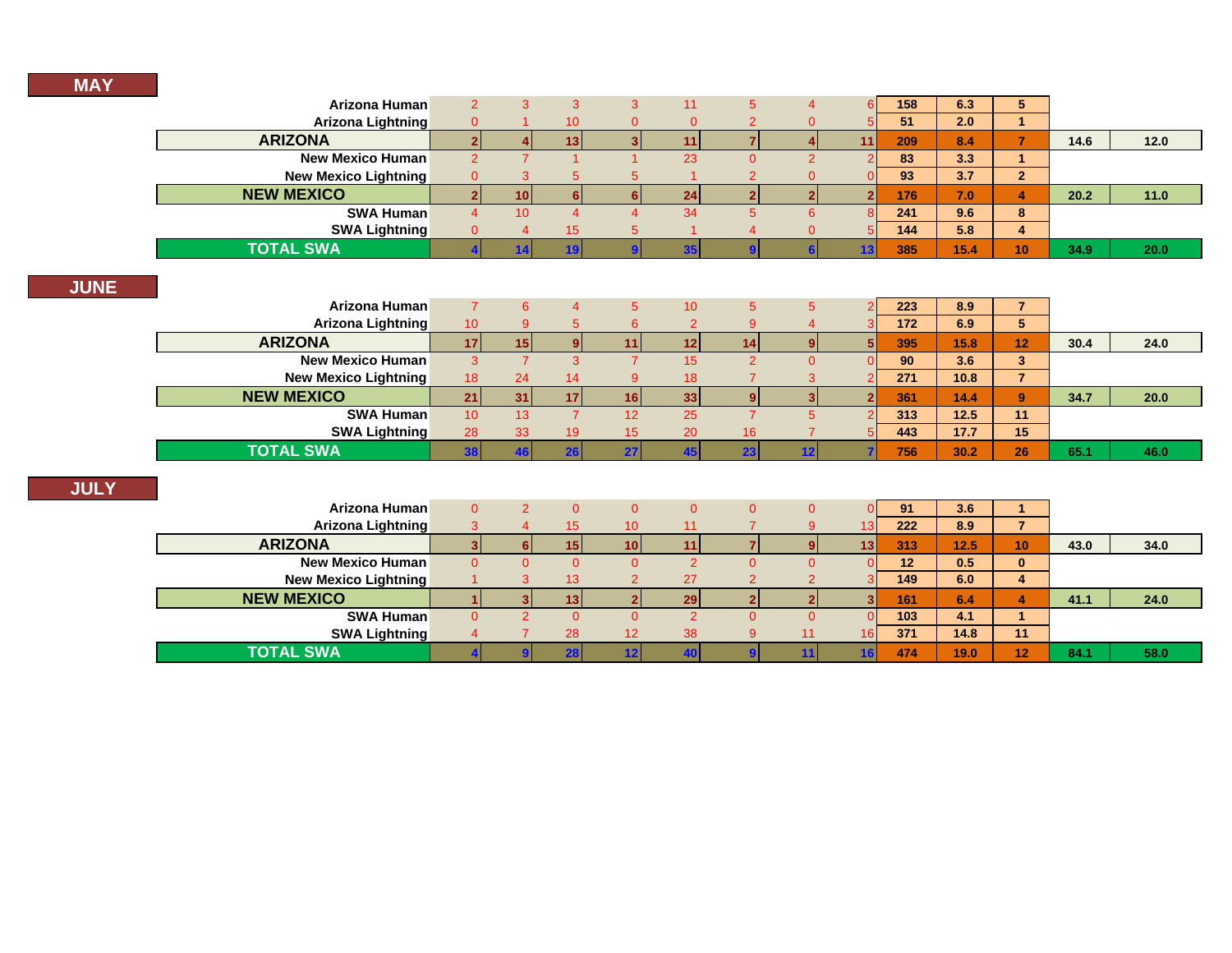| Arizona Human               | $\overline{2}$  | 3               | 3                     | 3                        | 11              | 5             | $\overline{4}$ | 6                       | 158 | 6.3    | 5 <sup>5</sup> |      |      |
|-----------------------------|-----------------|-----------------|-----------------------|--------------------------|-----------------|---------------|----------------|-------------------------|-----|--------|----------------|------|------|
| <b>Arizona Lightning</b>    | $\mathbf{0}$    |                 | 10                    | $\Omega$                 | $\Omega$        | 2             | $\Omega$       | 5                       | 51  | 2.0    |                |      |      |
| <b>ARIZONA</b>              | $\mathbf{2}$    |                 | 13                    | 3                        | 11              |               |                | 11                      | 209 | 8.4    | $\overline{7}$ | 14.6 | 12.0 |
| <b>New Mexico Human</b>     | 2               |                 |                       |                          | 23              | $\Omega$      | 2              | 2                       | 83  | 3.3    | $\overline{1}$ |      |      |
| <b>New Mexico Lightning</b> | $\overline{0}$  | 3               | 5                     | 5                        |                 | 2             | 0              |                         | 93  | 3.7    | $\overline{2}$ |      |      |
| <b>NEW MEXICO</b>           |                 | 10 <sup>1</sup> | 6                     | 6                        | 24              | 2             | $\mathbf{P}$   | $\overline{\mathbf{z}}$ | 176 | 7.0    | 4              | 20.2 | 11.0 |
| <b>SWA Human</b>            | 4               | 10 <sup>1</sup> | $\boldsymbol{\Delta}$ | Δ                        | 34              | 5             | 6              | 8                       | 241 | 9.6    | 8              |      |      |
| <b>SWA Lightning</b>        | $\Omega$        | 4               | 15                    | 5                        |                 |               | 0              |                         | 144 | 5.8    | 4              |      |      |
| <b>TOTAL SWA</b>            |                 |                 | 19                    | $\bullet$                | 35              |               |                | 13                      | 385 | 15.4   | 10             | 34.9 | 20.0 |
|                             |                 |                 |                       |                          |                 |               |                |                         |     |        |                |      |      |
|                             |                 |                 |                       |                          |                 |               |                |                         |     |        |                |      |      |
| Arizona Human               | $\overline{7}$  | 6               | $\overline{4}$        | 5                        | 10 <sup>1</sup> | 5             | 5              | $\mathcal{D}$           | 223 | 8.9    | $\overline{7}$ |      |      |
| <b>Arizona Lightning</b>    | 10 <sup>°</sup> | 9               | 5                     | 6                        | $\overline{2}$  | 9             |                |                         | 172 | 6.9    | 5 <sup>5</sup> |      |      |
| <b>ARIZONA</b>              | 17              | 15              | 9                     | 11                       | 12              | 14            | 9              |                         | 395 | 15.8   | 12             | 30.4 | 24.0 |
| <b>New Mexico Human</b>     | 3               |                 | 3                     | $\overline{\phantom{a}}$ | 15              | $\mathcal{P}$ | $\Omega$       |                         | 90  | 3.6    | 3 <sup>2</sup> |      |      |
| <b>New Mexico Lightning</b> | 18              | 24              | 14                    | 9                        | 18              |               | 3              |                         | 271 | 10.8   | $\overline{7}$ |      |      |
| <b>NEW MEXICO</b>           | 21              | 31              | 17                    | 16                       | 33              | q             |                |                         | 361 | 14.4   | 9              | 34.7 | 20.0 |
| <b>SWA Human</b>            | 10 <sup>°</sup> | 13              | $\overline{7}$        | 12                       | 25              |               | 5              |                         | 313 | $12.5$ | 11             |      |      |

**TOTAL SWA**

| Arizona Human               | 0  | 0   | $\Omega$        | $\Omega$ | O  |     | 91  | 3.6  |           |      |      |
|-----------------------------|----|-----|-----------------|----------|----|-----|-----|------|-----------|------|------|
| Arizona Lightning           |    | 15  | 10 <sup>°</sup> | 11       |    | 13. | 222 | 8.9  |           |      |      |
| <b>ARIZONA</b>              |    | 151 | 10 I            | 11       |    | 13  | 313 | 12.5 | <b>10</b> | 43.0 | 34.0 |
| <b>New Mexico Human</b>     | 0. | 0   |                 |          |    |     | 12  | 0.5  | 0         |      |      |
| <b>New Mexico Lightning</b> |    | 13  | 2               | 27       |    |     | 149 | 6.0  | 4         |      |      |
| <b>NEW MEXICO</b>           |    | 13  |                 | 29       |    |     | 161 | 6.4  | 4         | 41.1 | 24.0 |
| <b>SWA Human</b>            | 0  |     |                 |          |    |     | 103 | 4.1  |           |      |      |
| <b>SWA Lightning</b>        |    | 28  | 12              | 38       | 11 | 16. | 371 | 14.8 | 11        |      |      |
| <b>TOTAL SWA</b>            |    |     |                 |          |    |     | 474 | 19.0 | 12        | 84.1 | 58.0 |

**SWA Lightning** <sup>28</sup> <sup>33</sup> <sup>19</sup> <sup>15</sup> <sup>20</sup> <sup>16</sup> <sup>7</sup> <sup>5</sup> **443 17.7 15**

**38 46 26 27 45 23 12 7 756 30.2 26 65.1 46.0**

т,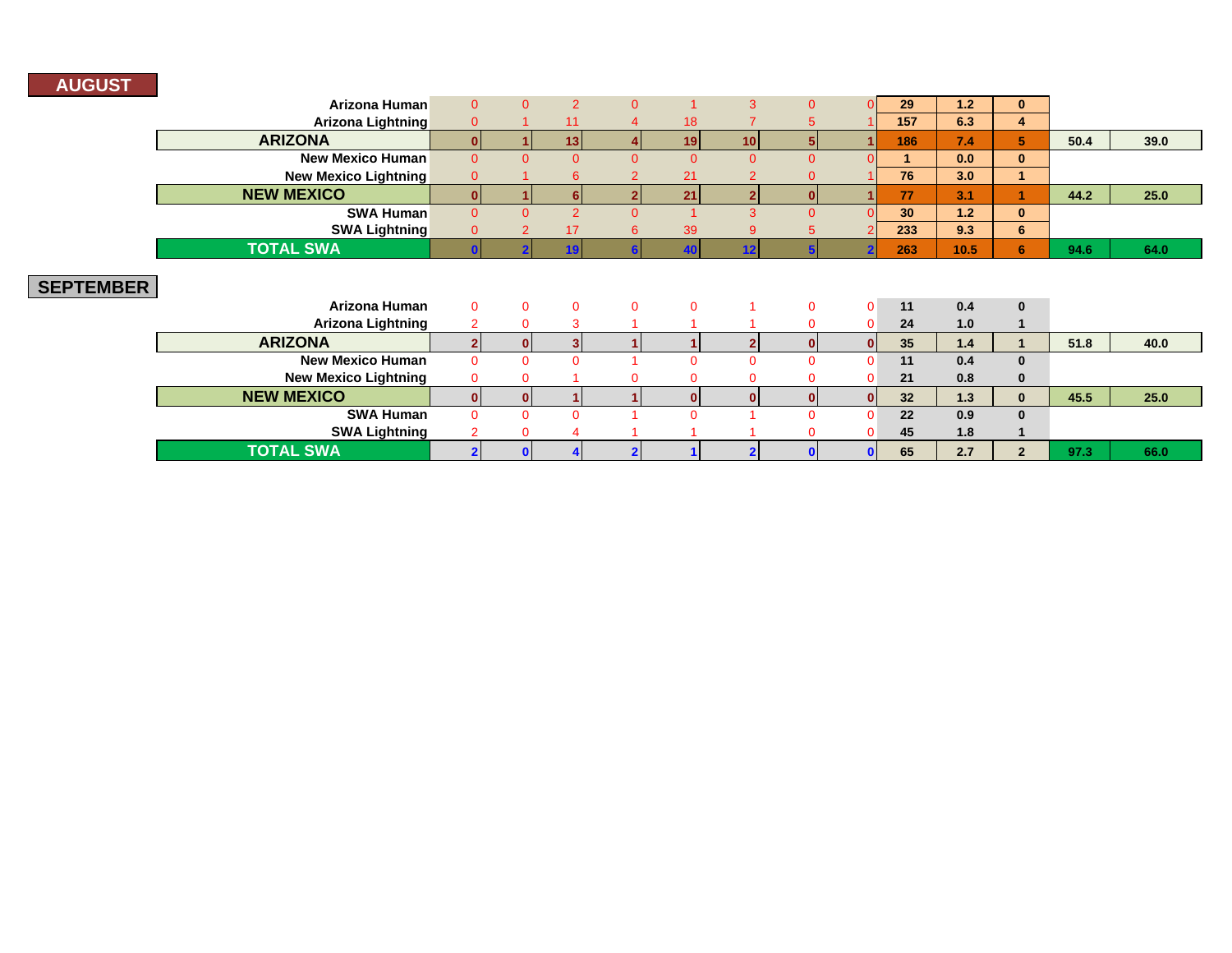### **AUGUST**

|                  | Arizona Human               | $\Omega$       | $\Omega$     | $\overline{2}$ | $\overline{0}$           |              | 3              | $\Omega$ |          | 29  | 1.2  | $\mathbf{0}$ |      |      |
|------------------|-----------------------------|----------------|--------------|----------------|--------------------------|--------------|----------------|----------|----------|-----|------|--------------|------|------|
|                  | <b>Arizona Lightning</b>    | $\overline{0}$ |              | 11             |                          | 18           |                |          |          | 157 | 6.3  | 4            |      |      |
|                  | <b>ARIZONA</b>              | $\Omega$       |              | 13             |                          | 19           | 10             | 5.       |          | 186 | 7.4  | 5.           | 50.4 | 39.0 |
|                  | <b>New Mexico Human</b>     | $\Omega$       | $\Omega$     | $\Omega$       | $\Omega$                 | $\Omega$     | $\Omega$       | $\Omega$ |          |     | 0.0  | $\mathbf{0}$ |      |      |
|                  | <b>New Mexico Lightning</b> | $\overline{0}$ |              | 6              | $\overline{\mathcal{L}}$ | 21           | $\overline{2}$ |          |          | 76  | 3.0  |              |      |      |
|                  | <b>NEW MEXICO</b>           | $\Omega$       |              |                | 2                        | 21           |                | $\Omega$ |          | 77  | 3.1  |              | 44.2 | 25.0 |
|                  | <b>SWA Human</b>            | $\Omega$       | $\Omega$     | $\overline{2}$ | $\overline{0}$           |              | $\mathbf{3}$   | $\Omega$ |          | 30  | 1.2  | $\mathbf{0}$ |      |      |
|                  | <b>SWA Lightning</b>        | $\Omega$       |              | 17             | $6^{\circ}$              | 39           | 9              |          |          | 233 | 9.3  | 6            |      |      |
|                  | <b>TOTAL SWA</b>            |                |              |                |                          |              | 12             |          |          | 263 | 10.5 | 6            | 94.6 | 64.0 |
| <b>SEPTEMBER</b> |                             |                |              |                |                          |              |                |          |          |     |      |              |      |      |
|                  | Arizona Human               | $\overline{0}$ | $\mathbf{0}$ | $\overline{0}$ | $\mathbf 0$              | $\Omega$     |                | $\Omega$ | $\Omega$ | 11  | 0.4  | $\bf{0}$     |      |      |
|                  | <b>Arizona Lightning</b>    | $\overline{2}$ |              | 3              |                          |              |                |          | $\Omega$ | 24  | 1.0  |              |      |      |
|                  | <b>ARIZONA</b>              | 2              |              |                |                          |              |                | n        |          | 35  | 1.4  |              | 51.8 | 40.0 |
|                  | <b>New Mexico Human</b>     | $\Omega$       | $\Omega$     | $\Omega$       |                          | $\Omega$     | $\Omega$       | $\Omega$ | $\Omega$ | 11  | 0.4  | $\bf{0}$     |      |      |
|                  | <b>New Mexico Lightning</b> | $\mathbf{0}$   |              |                | $\Omega$                 | $\Omega$     |                |          | $\Omega$ | 21  | 0.8  | $\bf{0}$     |      |      |
|                  | <b>NEW MEXICO</b>           | $\mathbf{0}$   | n            |                |                          | $\mathbf{0}$ | n              | 0        | 0        | 32  | 1.3  | $\mathbf{0}$ | 45.5 | 25.0 |
|                  | <b>SWA Human</b>            | $\Omega$       | $\Omega$     | $\Omega$       |                          | $\Omega$     |                |          | n        | 22  | 0.9  | $\mathbf{0}$ |      |      |
|                  | <b>SWA Lightning</b>        |                |              |                |                          |              |                |          | 0        | 45  | 1.8  |              |      |      |
|                  | <b>TOTAL SWA</b>            |                |              |                |                          |              |                |          |          | 65  | 2.7  | $\mathbf{2}$ | 97.3 | 66.0 |